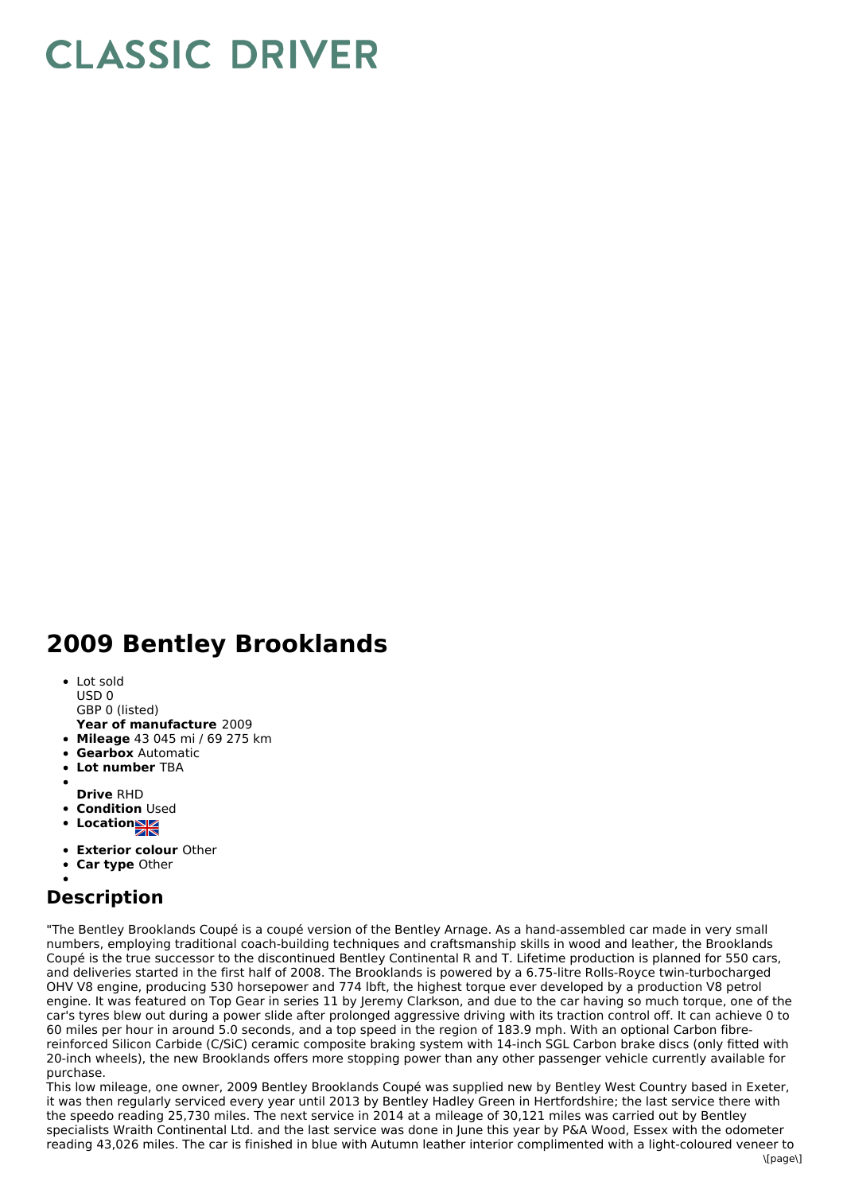## **CLASSIC DRIVER**

## **2009 Bentley Brooklands**

- Lot sold
- USD 0
- GBP 0 (listed)
- **Year of manufacture** 2009
- **Mileage** 43 045 mi / 69 275 km
- **Gearbox** Automatic
- **Lot number** TBA
- **Drive** RHD
- **Condition Used**
- **Locations**
- 
- **Exterior colour** Other
- **Car type** Other

## **Description**

"The Bentley Brooklands Coupé is a coupé version of the Bentley Arnage. As a hand-assembled car made in very small numbers, employing traditional coach-building techniques and craftsmanship skills in wood and leather, the Brooklands Coupé is the true successor to the discontinued Bentley Continental R and T. Lifetime production is planned for 550 cars, and deliveries started in the first half of 2008. The Brooklands is powered by a 6.75-litre Rolls-Royce twin-turbocharged OHV V8 engine, producing 530 horsepower and 774 lbft, the highest torque ever developed by a production V8 petrol engine. It was featured on Top Gear in series 11 by Jeremy Clarkson, and due to the car having so much torque, one of the car's tyres blew out during a power slide after prolonged aggressive driving with its traction control off. It can achieve 0 to 60 miles per hour in around 5.0 seconds, and a top speed in the region of 183.9 mph. With an optional Carbon fibrereinforced Silicon Carbide (C/SiC) ceramic composite braking system with 14-inch SGL Carbon brake discs (only fitted with 20-inch wheels), the new Brooklands offers more stopping power than any other passenger vehicle currently available for purchase.

This low mileage, one owner, 2009 Bentley Brooklands Coupé was supplied new by Bentley West Country based in Exeter, it was then regularly serviced every year until 2013 by Bentley Hadley Green in Hertfordshire; the last service there with the speedo reading 25,730 miles. The next service in 2014 at a mileage of 30,121 miles was carried out by Bentley specialists Wraith Continental Ltd. and the last service was done in June this year by P&A Wood, Essex with the odometer reading 43,026 miles. The car is finished in blue with Autumn leather interior complimented with a light-coloured veneer to